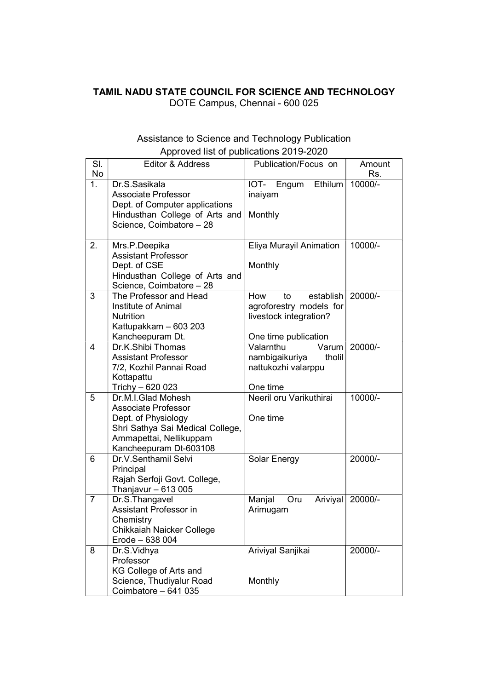## TAMIL NADU STATE COUNCIL FOR SCIENCE AND TECHNOLOGY

DOTE Campus, Chennai - 600 025

## Assistance to Science and Technology Publication Approved list of publications 2019-2020

| SI.<br>No      | Editor & Address                                                                                                                                                 | Publication/Focus on                                                                                | Amount<br>Rs. |
|----------------|------------------------------------------------------------------------------------------------------------------------------------------------------------------|-----------------------------------------------------------------------------------------------------|---------------|
| 1 <sub>1</sub> | Dr.S.Sasikala<br>Associate Professor<br>Dept. of Computer applications<br>Hindusthan College of Arts and<br>Science, Coimbatore - 28                             | Ethilum<br>IOT- Engum<br>inaiyam<br>Monthly                                                         | 10000/-       |
| 2.             | Mrs.P.Deepika<br><b>Assistant Professor</b><br>Dept. of CSE<br>Hindusthan College of Arts and<br>Science, Coimbatore - 28                                        | Eliya Murayil Animation<br>Monthly                                                                  | 10000/-       |
| 3              | The Professor and Head<br>Institute of Animal<br><b>Nutrition</b><br>Kattupakkam - 603 203<br>Kancheepuram Dt.                                                   | How<br>establish<br>to<br>agroforestry models for<br>livestock integration?<br>One time publication | 20000/-       |
| 4              | Dr.K.Shibi Thomas<br><b>Assistant Professor</b><br>7/2, Kozhil Pannai Road<br>Kottapattu<br>Trichy - 620 023                                                     | Valarnthu<br>Varum<br>nambigaikuriya<br>tholil<br>nattukozhi valarppu<br>One time                   | 20000/-       |
| 5              | Dr.M.I.Glad Mohesh<br><b>Associate Professor</b><br>Dept. of Physiology<br>Shri Sathya Sai Medical College,<br>Ammapettai, Nellikuppam<br>Kancheepuram Dt-603108 | Neeril oru Varikuthirai<br>One time                                                                 | 10000/-       |
| 6              | Dr.V.Senthamil Selvi<br>Principal<br>Rajah Serfoji Govt. College,<br>Thanjavur $-613005$                                                                         | Solar Energy                                                                                        | 20000/-       |
| $\overline{7}$ | Dr.S.Thangavel<br><b>Assistant Professor in</b><br>Chemistry<br>Chikkaiah Naicker College<br>Erode - 638 004                                                     | Manjal<br>Oru<br>Ariviyal<br>Arimugam                                                               | 20000/-       |
| 8              | Dr.S.Vidhya<br>Professor<br>KG College of Arts and<br>Science, Thudiyalur Road<br>Coimbatore - 641 035                                                           | Ariviyal Sanjikai<br>Monthly                                                                        | 20000/-       |